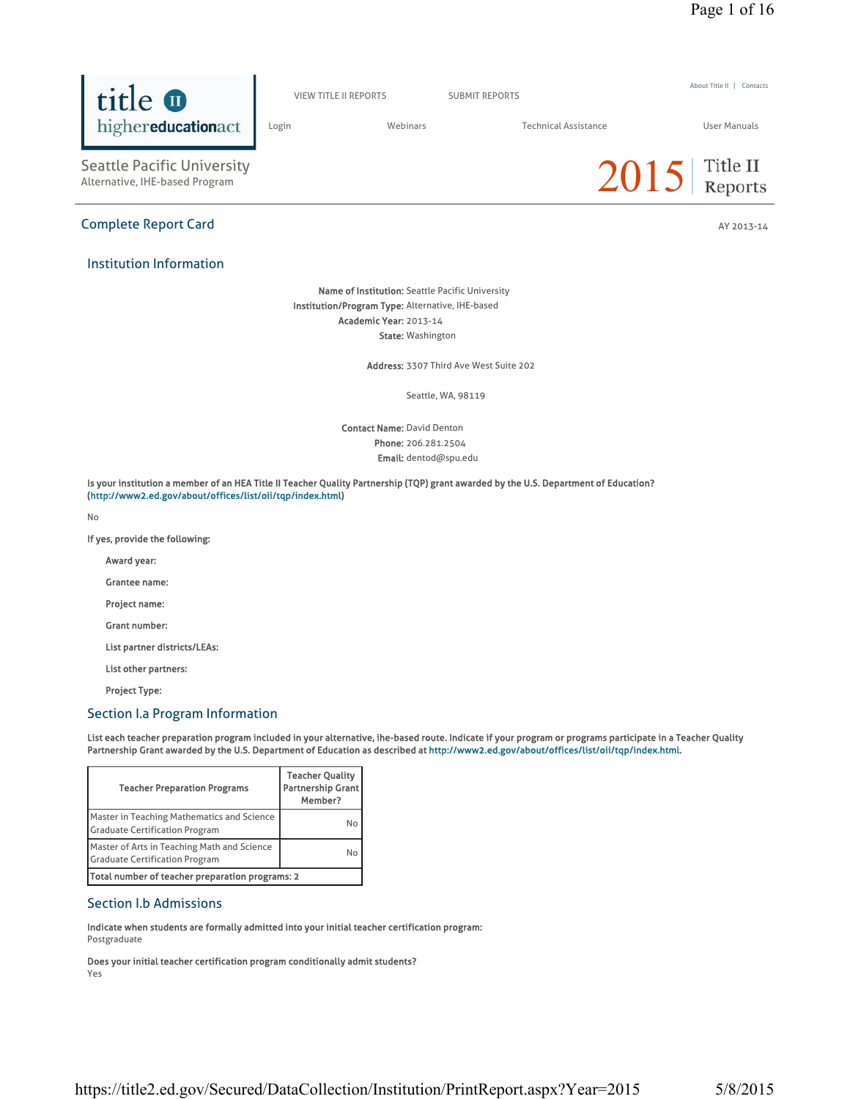About Title II | Contacts



### Section I.b Admissions

Indicate when students are formally admitted into your initial teacher certification program: Postgraduate

Does your initial teacher certification program conditionally admit students? Yes

Seattle, WA, 98119

Phone: 206.281.2504 Email: dentod@spu.edu

Is your institution a member of an HEA Title II Teacher Quality Partnership (TQP) grant awarded by the U.S. Department of Education? (http://www2.ed.gov/about/offices/list/oii/tqp/index.html)

No

If yes, provide the following:

Award year:

Grantee name:

Project name:

Grant number:

List partner districts/LEAs:

List other partners:

Project Type:

Institution Information

Seattle Pacific University<br>Alternative, IHE-based Program

highereducationact

title **O** 

 $2015$  Title II

Name of Institution: Seattle Pacific University Institution/Program Type: Alternative, IHE-based Academic Year: 2013-14

**State: Washington** 

Address: 3307 Third Ave West Suite 202

Contact Name: David Denton

# https://title2.ed.gov/Secured/DataCollection/Institution/PrintReport.aspx?Year=2015 5/8/2015

Complete Report Card AY 2013-14 and AY 2013-14

VIEW TITLE II REPORTS SUBMIT REPORTS

Login Webinars Technical Assistance User Manuals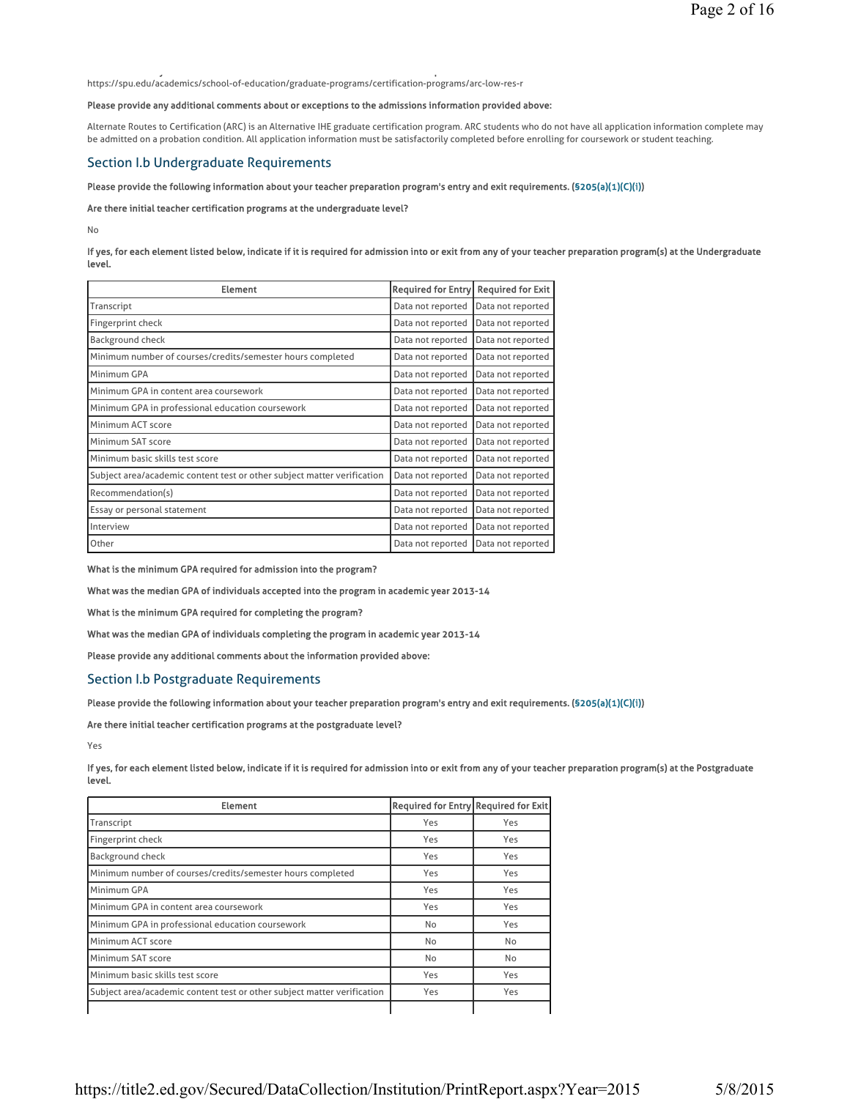y and the second contract of the second contract of the second contract of the second contract of the second c https://spu.edu/academics/school-of-education/graduate-programs/certification-programs/arc-low-res-r

#### Please provide any additional comments about or exceptions to the admissions information provided above:

Alternate Routes to Certification (ARC) is an Alternative IHE graduate certification program. ARC students who do not have all application information complete may be admitted on a probation condition. All application information must be satisfactorily completed before enrolling for coursework or student teaching.

### Section I.b Undergraduate Requirements

#### Please provide the following information about your teacher preparation program's entry and exit requirements. (§205(a)(1)(C)(i))

#### Are there initial teacher certification programs at the undergraduate level?

No

#### If yes, for each element listed below, indicate if it is required for admission into or exit from any of your teacher preparation program(s) at the Undergraduate level.

| <b>Element</b>                                                          | <b>Required for Entry</b> | <b>Required for Exit</b> |
|-------------------------------------------------------------------------|---------------------------|--------------------------|
| Transcript                                                              | Data not reported         | Data not reported        |
| Fingerprint check                                                       | Data not reported         | Data not reported        |
| Background check                                                        | Data not reported         | Data not reported        |
| Minimum number of courses/credits/semester hours completed              | Data not reported         | Data not reported        |
| Minimum GPA                                                             | Data not reported         | Data not reported        |
| Minimum GPA in content area coursework                                  | Data not reported         | Data not reported        |
| Minimum GPA in professional education coursework                        | Data not reported         | Data not reported        |
| Minimum ACT score                                                       | Data not reported         | Data not reported        |
| Minimum SAT score                                                       | Data not reported         | Data not reported        |
| Minimum basic skills test score                                         | Data not reported         | Data not reported        |
| Subject area/academic content test or other subject matter verification | Data not reported         | Data not reported        |
| Recommendation(s)                                                       | Data not reported         | Data not reported        |
| Essay or personal statement                                             | Data not reported         | Data not reported        |
| Interview                                                               | Data not reported         | Data not reported        |
| Other                                                                   | Data not reported         | Data not reported        |

What is the minimum GPA required for admission into the program?

What was the median GPA of individuals accepted into the program in academic year 2013-14

What is the minimum GPA required for completing the program?

What was the median GPA of individuals completing the program in academic year 2013-14

Please provide any additional comments about the information provided above:

### Section I.b Postgraduate Requirements

Please provide the following information about your teacher preparation program's entry and exit requirements. (§205(a)(1)(C)(i))

Are there initial teacher certification programs at the postgraduate level?

Yes

If yes, for each element listed below, indicate if it is required for admission into or exit from any of your teacher preparation program(s) at the Postgraduate level.

| <b>Element</b>                                                          | <b>Required for Entry Required for Exit</b> |           |
|-------------------------------------------------------------------------|---------------------------------------------|-----------|
| Transcript                                                              | Yes                                         | Yes       |
| Fingerprint check                                                       | Yes                                         | Yes       |
| <b>Background check</b>                                                 | Yes                                         | Yes       |
| Minimum number of courses/credits/semester hours completed              | Yes                                         | Yes       |
| Minimum GPA                                                             | Yes                                         | Yes       |
| Minimum GPA in content area coursework                                  | Yes                                         | Yes       |
| Minimum GPA in professional education coursework                        | No                                          | Yes       |
| Minimum ACT score                                                       | <b>No</b>                                   | <b>No</b> |
| Minimum SAT score                                                       | No                                          | No        |
| Minimum basic skills test score                                         | Yes                                         | Yes       |
| Subject area/academic content test or other subject matter verification | Yes                                         | Yes       |
|                                                                         |                                             |           |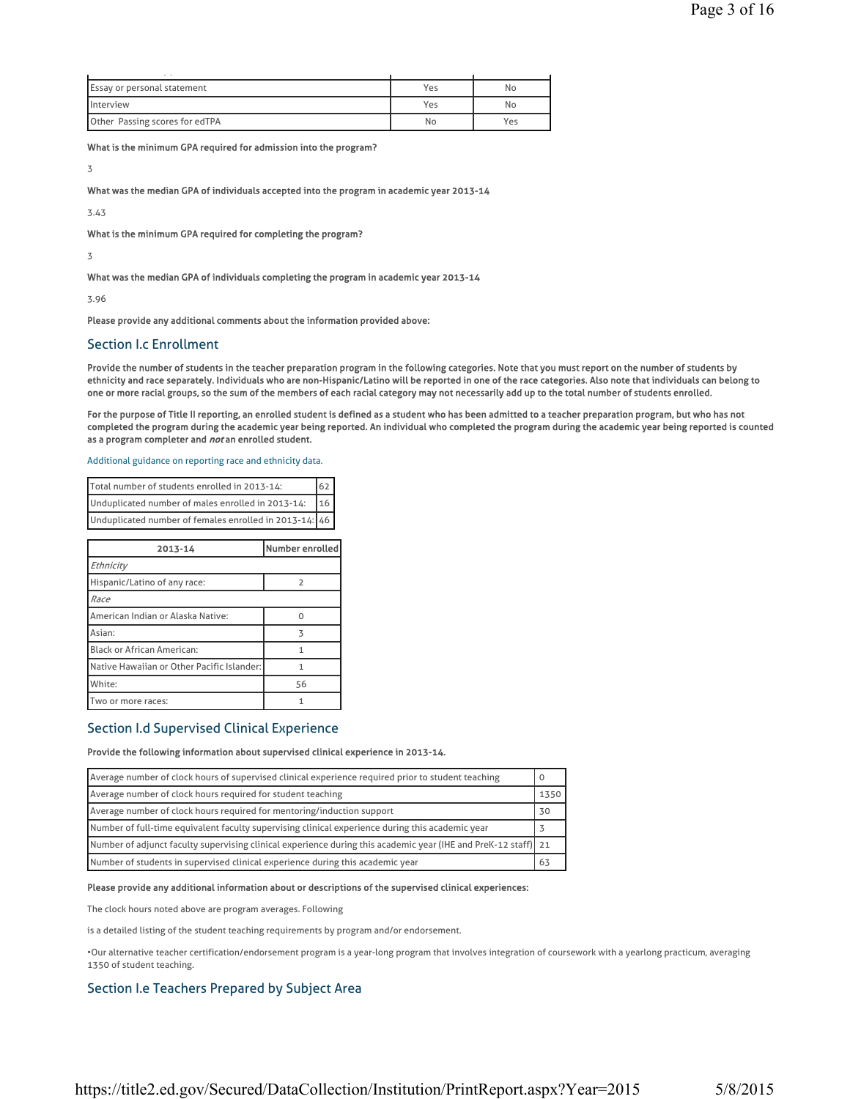| $\sim$ $\sim$                      |     |     |
|------------------------------------|-----|-----|
| <b>Essay or personal statement</b> | Yes | No  |
| <b>Interview</b>                   | Yes | No  |
| Other Passing scores for edTPA     | No  | Yes |

What is the minimum GPA required for admission into the program?

3

What was the median GPA of individuals accepted into the program in academic year 2013-14

3.43

What is the minimum GPA required for completing the program?

3

What was the median GPA of individuals completing the program in academic year 2013-14

3.96

Please provide any additional comments about the information provided above:

### Section I.c Enrollment

Provide the number of students in the teacher preparation program in the following categories. Note that you must report on the number of students by ethnicity and race separately. Individuals who are non-Hispanic/Latino will be reported in one of the race categories. Also note that individuals can belong to one or more racial groups, so the sum of the members of each racial category may not necessarily add up to the total number of students enrolled.

For the purpose of Title II reporting, an enrolled student is defined as a student who has been admitted to a teacher preparation program, but who has not completed the program during the academic year being reported. An individual who completed the program during the academic year being reported is counted as a program completer and not an enrolled student.

#### Additional guidance on reporting race and ethnicity data.

| Total number of students enrolled in 2013-14:          | $\sqrt{62}$     |
|--------------------------------------------------------|-----------------|
| Unduplicated number of males enrolled in 2013-14:      | 16 <sup>1</sup> |
| Unduplicated number of females enrolled in 2013-14: 46 |                 |

| 2013-14                                    | Number enrolled |
|--------------------------------------------|-----------------|
| Ethnicity                                  |                 |
| Hispanic/Latino of any race:               | $\mathcal{P}$   |
| Race                                       |                 |
| American Indian or Alaska Native:          | $\Omega$        |
| Asian:                                     | ス               |
| <b>Black or African American:</b>          | 1               |
| Native Hawaiian or Other Pacific Islander: | 1               |
| White:                                     | 56              |
| Two or more races:                         |                 |

#### Section I.d Supervised Clinical Experience

#### Provide the following information about supervised clinical experience in 2013-14.

| Average number of clock hours of supervised clinical experience required prior to student teaching              |      |
|-----------------------------------------------------------------------------------------------------------------|------|
| Average number of clock hours required for student teaching                                                     | 1350 |
| Average number of clock hours required for mentoring/induction support                                          | 30   |
| Number of full-time equivalent faculty supervising clinical experience during this academic year                |      |
| [Number of adjunct faculty supervising clinical experience during this academic year (IHE and PreK-12 staff) 21 |      |
| Number of students in supervised clinical experience during this academic year                                  | 63   |

### Please provide any additional information about or descriptions of the supervised clinical experiences:

The clock hours noted above are program averages. Following

is a detailed listing of the student teaching requirements by program and/or endorsement.

•Our alternative teacher certification/endorsement program is a year-long program that involves integration of coursework with a yearlong practicum, averaging 1350 of student teaching.

### Section I.e Teachers Prepared by Subject Area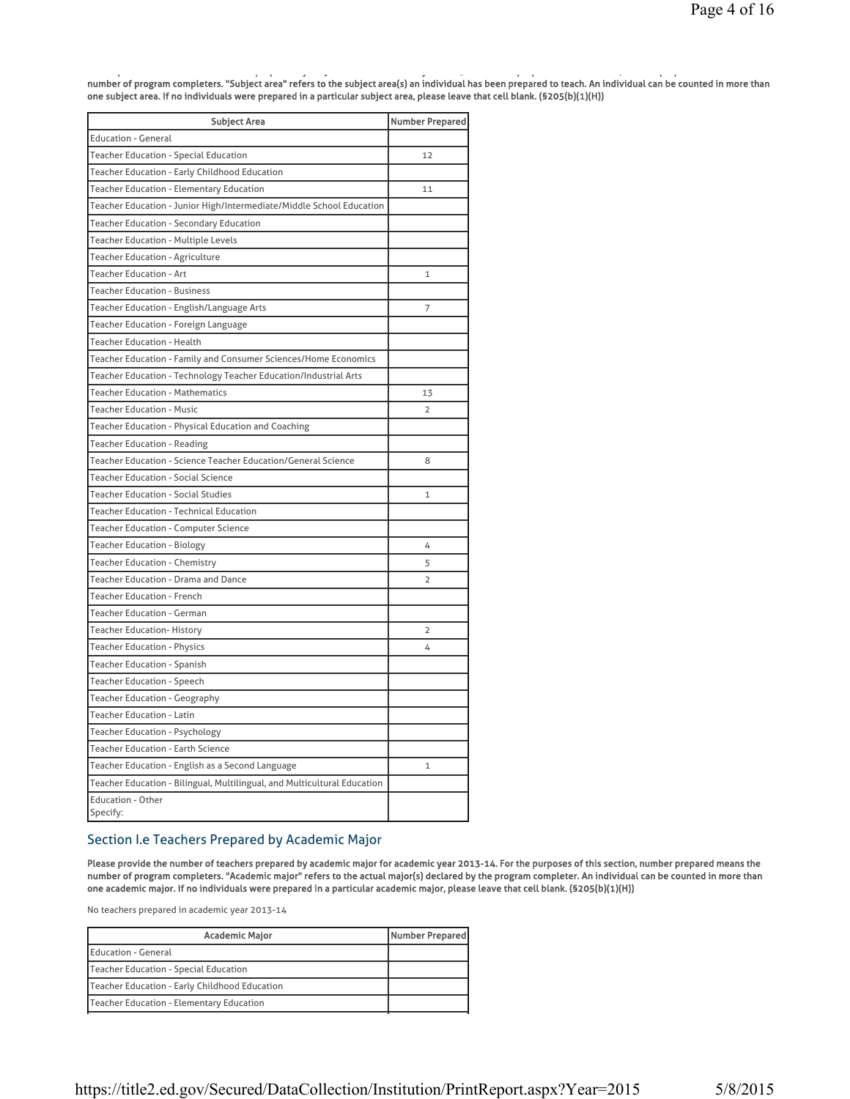p pp y j y 3 pp y 3 pp y 3 pp y 3 pp y 3 pp y 3 pp y 3 pp y 3 pp y 3 pp y 3 pp y 3 pp y 3 pp y 3 pp y 3 pp y 3 number of program completers. "Subject area" refers to the subject area(s) an individual has been prepared to teach. An individual can be counted in more than one subject area. If no individuals were prepared in a particular subject area, please leave that cell blank. (§205(b)(1)(H))

| <b>Subject Area</b>                                                      | <b>Number Prepared</b> |
|--------------------------------------------------------------------------|------------------------|
| <b>Education - General</b>                                               |                        |
| <b>Teacher Education - Special Education</b>                             | 12                     |
| Teacher Education - Early Childhood Education                            |                        |
| <b>Teacher Education - Elementary Education</b>                          | 11                     |
| Teacher Education - Junior High/Intermediate/Middle School Education     |                        |
| <b>Teacher Education - Secondary Education</b>                           |                        |
| <b>Teacher Education - Multiple Levels</b>                               |                        |
| <b>Teacher Education - Agriculture</b>                                   |                        |
| <b>Teacher Education - Art</b>                                           | $\mathbf{1}$           |
| <b>Teacher Education - Business</b>                                      |                        |
| Teacher Education - English/Language Arts                                | 7                      |
| Teacher Education - Foreign Language                                     |                        |
| <b>Teacher Education - Health</b>                                        |                        |
| Teacher Education - Family and Consumer Sciences/Home Economics          |                        |
| Teacher Education - Technology Teacher Education/Industrial Arts         |                        |
| <b>Teacher Education - Mathematics</b>                                   | 13                     |
| <b>Teacher Education - Music</b>                                         | $\overline{2}$         |
| Teacher Education - Physical Education and Coaching                      |                        |
| <b>Teacher Education - Reading</b>                                       |                        |
| Teacher Education - Science Teacher Education/General Science            | 8                      |
| <b>Teacher Education - Social Science</b>                                |                        |
| <b>Teacher Education - Social Studies</b>                                | $\mathbf{1}$           |
| <b>Teacher Education - Technical Education</b>                           |                        |
| <b>Teacher Education - Computer Science</b>                              |                        |
| <b>Teacher Education - Biology</b>                                       | 4                      |
| <b>Teacher Education - Chemistry</b>                                     | 5                      |
| Teacher Education - Drama and Dance                                      | $\overline{2}$         |
| <b>Teacher Education - French</b>                                        |                        |
| <b>Teacher Education - German</b>                                        |                        |
| <b>Teacher Education- History</b>                                        | $\overline{2}$         |
| <b>Teacher Education - Physics</b>                                       | 4                      |
| Teacher Education - Spanish                                              |                        |
| <b>Teacher Education - Speech</b>                                        |                        |
| Teacher Education - Geography                                            |                        |
| <b>Teacher Education - Latin</b>                                         |                        |
| Teacher Education - Psychology                                           |                        |
| <b>Teacher Education - Earth Science</b>                                 |                        |
| Teacher Education - English as a Second Language                         | $\mathbf{1}$           |
| Teacher Education - Bilingual, Multilingual, and Multicultural Education |                        |
| <b>Education - Other</b><br>Specify:                                     |                        |

### Section I.e Teachers Prepared by Academic Major

Please provide the number of teachers prepared by academic major for academic year 2013-14. For the purposes of this section, number prepared means the number of program completers. "Academic major" refers to the actual major(s) declared by the program completer. An individual can be counted in more than one academic major. If no individuals were prepared in a particular academic major, please leave that cell blank. (§205(b)(1)(H))

No teachers prepared in academic year 2013-14

| <b>Academic Major</b>                         | Number Prepared |
|-----------------------------------------------|-----------------|
| Education - General                           |                 |
| Teacher Education - Special Education         |                 |
| Teacher Education - Early Childhood Education |                 |
| Teacher Education - Elementary Education      |                 |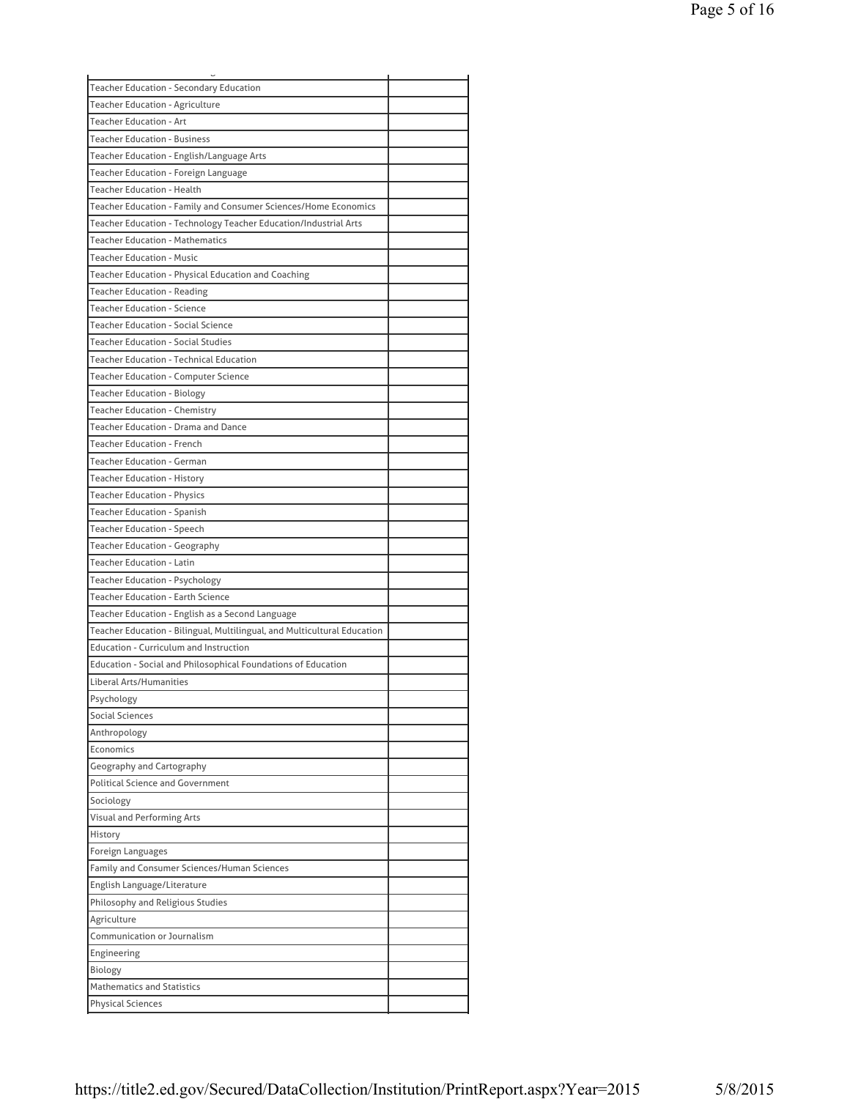| <b>Teacher Education - Secondary Education</b>                           |  |
|--------------------------------------------------------------------------|--|
| <b>Teacher Education - Agriculture</b>                                   |  |
| <b>Teacher Education - Art</b>                                           |  |
| <b>Teacher Education - Business</b>                                      |  |
| Teacher Education - English/Language Arts                                |  |
| Teacher Education - Foreign Language                                     |  |
| <b>Teacher Education - Health</b>                                        |  |
| Teacher Education - Family and Consumer Sciences/Home Economics          |  |
| Teacher Education - Technology Teacher Education/Industrial Arts         |  |
| <b>Teacher Education - Mathematics</b>                                   |  |
| <b>Teacher Education - Music</b>                                         |  |
| Teacher Education - Physical Education and Coaching                      |  |
| <b>Teacher Education - Reading</b>                                       |  |
| <b>Teacher Education - Science</b>                                       |  |
| <b>Teacher Education - Social Science</b>                                |  |
| <b>Teacher Education - Social Studies</b>                                |  |
|                                                                          |  |
| <b>Teacher Education - Technical Education</b>                           |  |
| <b>Teacher Education - Computer Science</b>                              |  |
| <b>Teacher Education - Biology</b>                                       |  |
| Teacher Education - Chemistry                                            |  |
| Teacher Education - Drama and Dance                                      |  |
| <b>Teacher Education - French</b>                                        |  |
| <b>Teacher Education - German</b>                                        |  |
| <b>Teacher Education - History</b>                                       |  |
| <b>Teacher Education - Physics</b>                                       |  |
| Teacher Education - Spanish                                              |  |
| Teacher Education - Speech                                               |  |
| <b>Teacher Education - Geography</b>                                     |  |
| <b>Teacher Education - Latin</b>                                         |  |
| <b>Teacher Education - Psychology</b>                                    |  |
| <b>Teacher Education - Earth Science</b>                                 |  |
| Teacher Education - English as a Second Language                         |  |
| Teacher Education - Bilingual, Multilingual, and Multicultural Education |  |
| <b>Education - Curriculum and Instruction</b>                            |  |
| Education - Social and Philosophical Foundations of Education            |  |
| Liberal Arts/Humanities                                                  |  |
| Psychology                                                               |  |
| Social Sciences                                                          |  |
|                                                                          |  |
| Anthropology                                                             |  |
| Economics                                                                |  |
| Geography and Cartography                                                |  |
| <b>Political Science and Government</b>                                  |  |
| Sociology                                                                |  |
| Visual and Performing Arts                                               |  |
| History                                                                  |  |
| Foreign Languages                                                        |  |
| Family and Consumer Sciences/Human Sciences                              |  |
| English Language/Literature                                              |  |
| Philosophy and Religious Studies                                         |  |
| Agriculture                                                              |  |
| Communication or Journalism                                              |  |
| Engineering                                                              |  |
| Biology                                                                  |  |
| <b>Mathematics and Statistics</b>                                        |  |
| Physical Sciences                                                        |  |
|                                                                          |  |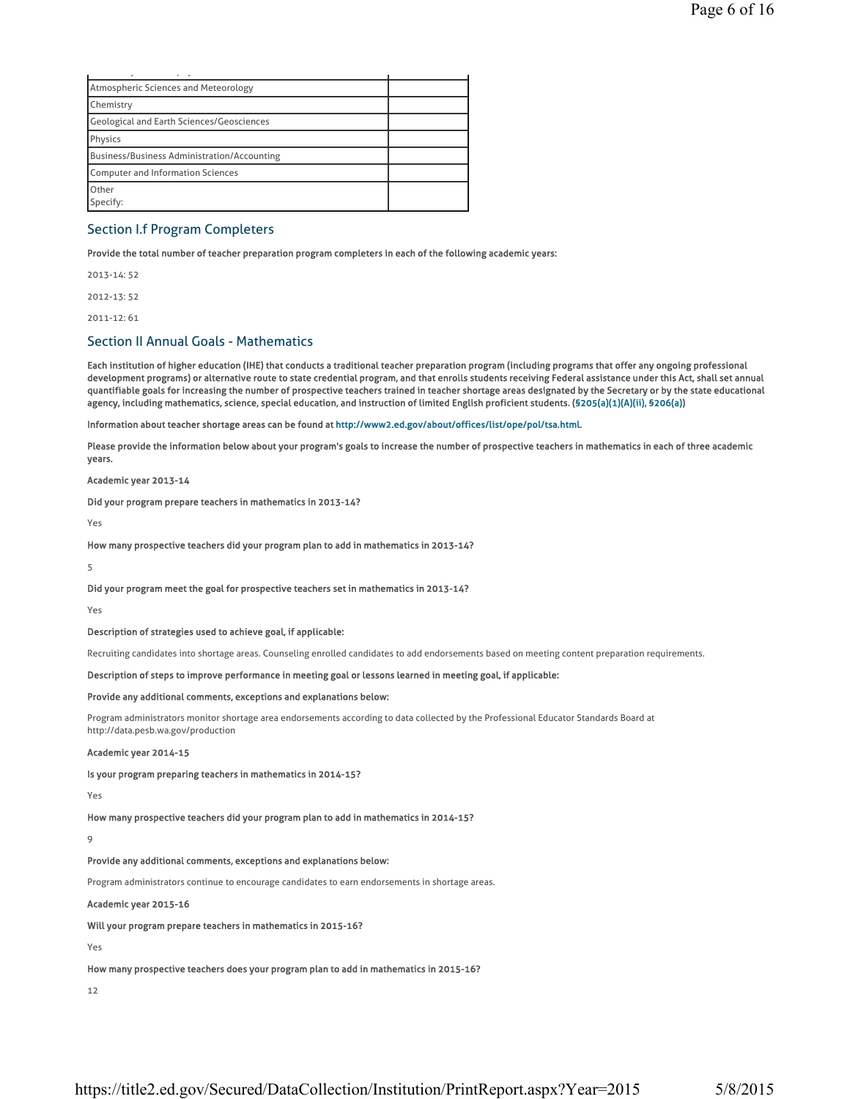| Atmospheric Sciences and Meteorology        |  |
|---------------------------------------------|--|
| Chemistry                                   |  |
| Geological and Earth Sciences/Geosciences   |  |
| Physics                                     |  |
| Business/Business Administration/Accounting |  |
| Computer and Information Sciences           |  |
| Other                                       |  |
| Specify:                                    |  |

### Section I.f Program Completers

Provide the total number of teacher preparation program completers in each of the following academic years:

2013-14: 52 2012-13: 52

2011-12: 61

### Section II Annual Goals - Mathematics

Each institution of higher education (IHE) that conducts a traditional teacher preparation program (including programs that offer any ongoing professional development programs) or alternative route to state credential program, and that enrolls students receiving Federal assistance under this Act, shall set annual quantifiable goals for increasing the number of prospective teachers trained in teacher shortage areas designated by the Secretary or by the state educational agency, including mathematics, science, special education, and instruction of limited English proficient students. (§205(a)(1)(A)(ii), §206(a))

Information about teacher shortage areas can be found at http://www2.ed.gov/about/offices/list/ope/pol/tsa.html.

Please provide the information below about your program's goals to increase the number of prospective teachers in mathematics in each of three academic years.

Academic year 2013-14

Did your program prepare teachers in mathematics in 2013-14?

Yes

How many prospective teachers did your program plan to add in mathematics in 2013-14?

5

Did your program meet the goal for prospective teachers set in mathematics in 2013-14?

Yes

Description of strategies used to achieve goal, if applicable:

Recruiting candidates into shortage areas. Counseling enrolled candidates to add endorsements based on meeting content preparation requirements.

Description of steps to improve performance in meeting goal or lessons learned in meeting goal, if applicable:

#### Provide any additional comments, exceptions and explanations below:

Program administrators monitor shortage area endorsements according to data collected by the Professional Educator Standards Board at http://data.pesb.wa.gov/production

#### Academic year 2014-15

Is your program preparing teachers in mathematics in 2014-15?

Yes

How many prospective teachers did your program plan to add in mathematics in 2014-15?

 $\alpha$ 

#### Provide any additional comments, exceptions and explanations below:

Program administrators continue to encourage candidates to earn endorsements in shortage areas.

#### Academic year 2015-16

Will your program prepare teachers in mathematics in 2015-16?

Yes

How many prospective teachers does your program plan to add in mathematics in 2015-16?

12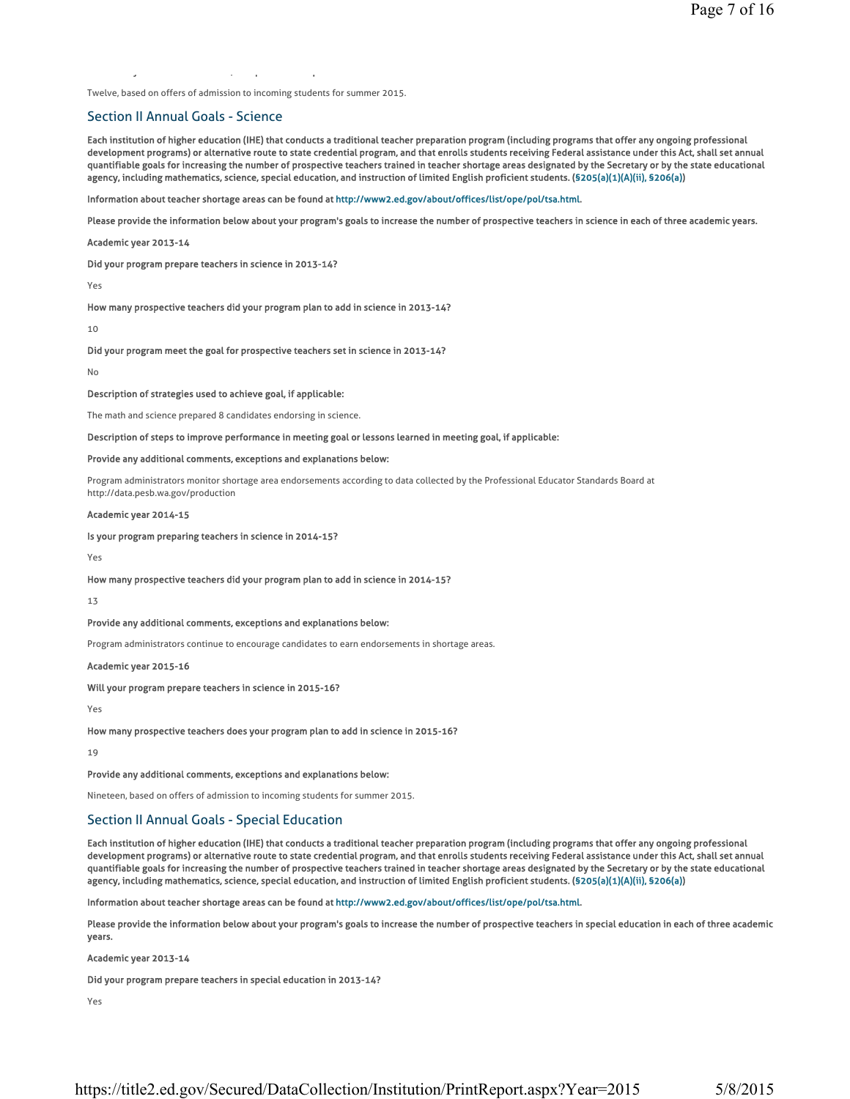Twelve, based on offers of admission to incoming students for summer 2015.

y ,p p

### Section II Annual Goals - Science

Each institution of higher education (IHE) that conducts a traditional teacher preparation program (including programs that offer any ongoing professional development programs) or alternative route to state credential program, and that enrolls students receiving Federal assistance under this Act, shall set annual quantifiable goals for increasing the number of prospective teachers trained in teacher shortage areas designated by the Secretary or by the state educational agency, including mathematics, science, special education, and instruction of limited English proficient students. (§205(a)(1)(A)(ii), §206(a))

Information about teacher shortage areas can be found at http://www2.ed.gov/about/offices/list/ope/pol/tsa.html.

Please provide the information below about your program's goals to increase the number of prospective teachers in science in each of three academic years.

Academic year 2013-14

Did your program prepare teachers in science in 2013-14?

Yes

How many prospective teachers did your program plan to add in science in 2013-14?

10

Did your program meet the goal for prospective teachers set in science in 2013-14?

No

Description of strategies used to achieve goal, if applicable:

The math and science prepared 8 candidates endorsing in science.

#### Description of steps to improve performance in meeting goal or lessons learned in meeting goal, if applicable:

#### Provide any additional comments, exceptions and explanations below:

Program administrators monitor shortage area endorsements according to data collected by the Professional Educator Standards Board at http://data.pesb.wa.gov/production

Academic year 2014-15

Is your program preparing teachers in science in 2014-15?

Yes

How many prospective teachers did your program plan to add in science in 2014-15?

13

Provide any additional comments, exceptions and explanations below:

Program administrators continue to encourage candidates to earn endorsements in shortage areas.

Academic year 2015-16

Will your program prepare teachers in science in 2015-16?

Yes

How many prospective teachers does your program plan to add in science in 2015-16?

19

Provide any additional comments, exceptions and explanations below:

Nineteen, based on offers of admission to incoming students for summer 2015.

### Section II Annual Goals - Special Education

Each institution of higher education (IHE) that conducts a traditional teacher preparation program (including programs that offer any ongoing professional development programs) or alternative route to state credential program, and that enrolls students receiving Federal assistance under this Act, shall set annual quantifiable goals for increasing the number of prospective teachers trained in teacher shortage areas designated by the Secretary or by the state educational agency, including mathematics, science, special education, and instruction of limited English proficient students. (§205(a)(1)(A)(ii), §206(a))

Information about teacher shortage areas can be found at http://www2.ed.gov/about/offices/list/ope/pol/tsa.html.

Please provide the information below about your program's goals to increase the number of prospective teachers in special education in each of three academic years.

Academic year 2013-14

Did your program prepare teachers in special education in 2013-14?

Yes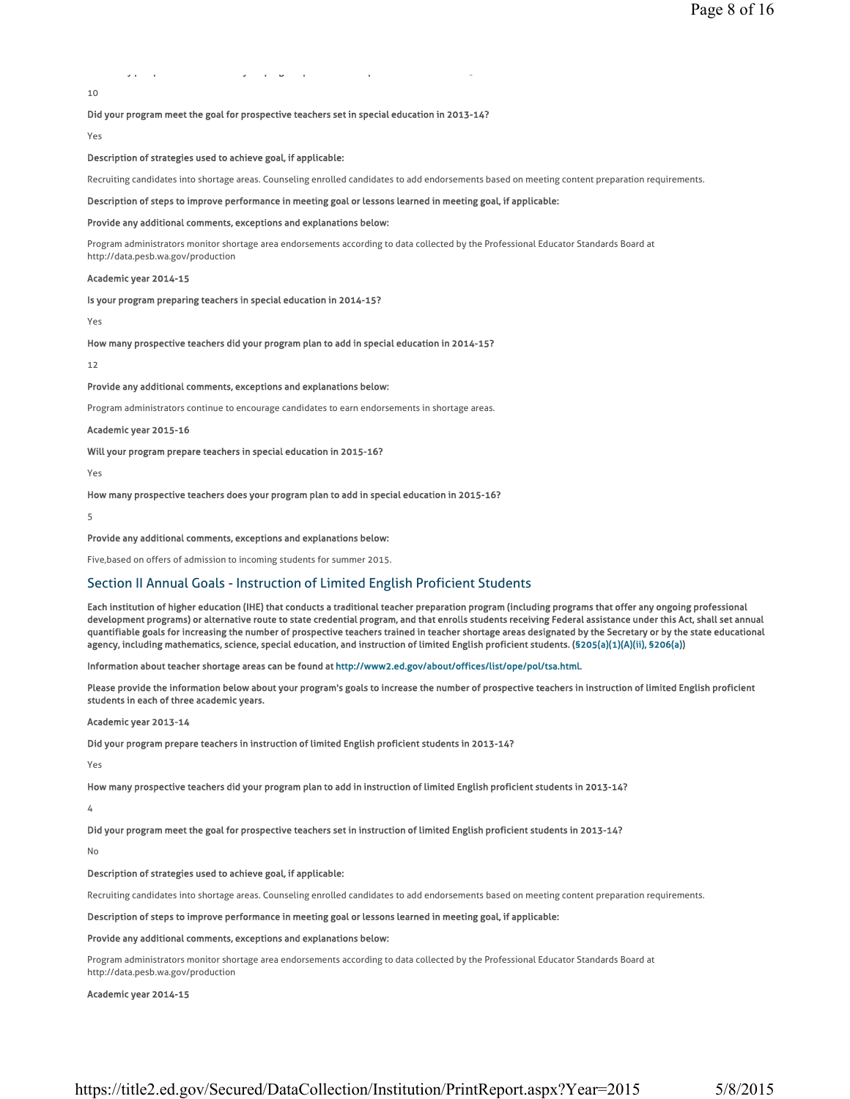## yp p y p y p s y p s y p s y p s y p 3 y p 3 y p 3 y p 3 y p 3 y p 3 y p 3 y p 3 y p 3 y p 3 y p 3 y p 3 y p 3

10

#### Did your program meet the goal for prospective teachers set in special education in 2013-14?

Yes

#### Description of strategies used to achieve goal, if applicable:

Recruiting candidates into shortage areas. Counseling enrolled candidates to add endorsements based on meeting content preparation requirements.

#### Description of steps to improve performance in meeting goal or lessons learned in meeting goal, if applicable:

#### Provide any additional comments, exceptions and explanations below:

Program administrators monitor shortage area endorsements according to data collected by the Professional Educator Standards Board at http://data.pesb.wa.gov/production

#### Academic year 2014-15

#### Is your program preparing teachers in special education in 2014-15?

Yes

How many prospective teachers did your program plan to add in special education in 2014-15?

#### 12

#### Provide any additional comments, exceptions and explanations below:

Program administrators continue to encourage candidates to earn endorsements in shortage areas.

#### Academic year 2015-16

Will your program prepare teachers in special education in 2015-16?

Yes

How many prospective teachers does your program plan to add in special education in 2015-16?

5

#### Provide any additional comments, exceptions and explanations below:

Five,based on offers of admission to incoming students for summer 2015.

### Section II Annual Goals - Instruction of Limited English Proficient Students

Each institution of higher education (IHE) that conducts a traditional teacher preparation program (including programs that offer any ongoing professional development programs) or alternative route to state credential program, and that enrolls students receiving Federal assistance under this Act, shall set annual quantifiable goals for increasing the number of prospective teachers trained in teacher shortage areas designated by the Secretary or by the state educational agency, including mathematics, science, special education, and instruction of limited English proficient students. (§205(a)(1)(A)(ii), §206(a))

Information about teacher shortage areas can be found at http://www2.ed.gov/about/offices/list/ope/pol/tsa.html.

Please provide the information below about your program's goals to increase the number of prospective teachers in instruction of limited English proficient students in each of three academic years.

#### Academic year 2013-14

Did your program prepare teachers in instruction of limited English proficient students in 2013-14?

#### Yes

How many prospective teachers did your program plan to add in instruction of limited English proficient students in 2013-14?

4

Did your program meet the goal for prospective teachers set in instruction of limited English proficient students in 2013-14?

#### No

#### Description of strategies used to achieve goal, if applicable:

Recruiting candidates into shortage areas. Counseling enrolled candidates to add endorsements based on meeting content preparation requirements.

#### Description of steps to improve performance in meeting goal or lessons learned in meeting goal, if applicable:

#### Provide any additional comments, exceptions and explanations below:

Program administrators monitor shortage area endorsements according to data collected by the Professional Educator Standards Board at http://data.pesb.wa.gov/production

#### Academic year 2014-15

https://title2.ed.gov/Secured/DataCollection/Institution/PrintReport.aspx?Year=2015 5/8/2015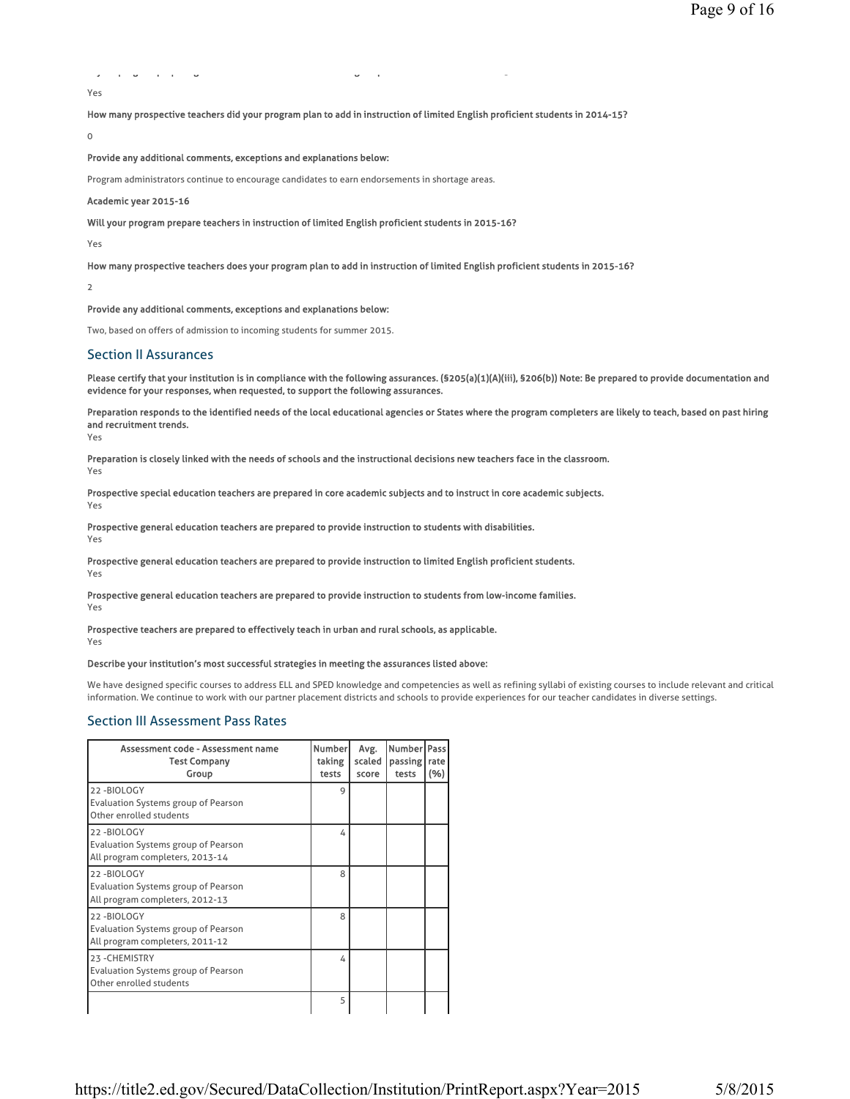```
y pg pp g g p 5
Yes
```
How many prospective teachers did your program plan to add in instruction of limited English proficient students in 2014-15?

 $\Omega$ 

Provide any additional comments, exceptions and explanations below:

Program administrators continue to encourage candidates to earn endorsements in shortage areas.

#### Academic year 2015-16

Will your program prepare teachers in instruction of limited English proficient students in 2015-16?

Yes

How many prospective teachers does your program plan to add in instruction of limited English proficient students in 2015-16?

 $\overline{2}$ 

Provide any additional comments, exceptions and explanations below:

Two, based on offers of admission to incoming students for summer 2015.

### Section II Assurances

Please certify that your institution is in compliance with the following assurances. (§205(a)(1)(A)(iii), §206(b)) Note: Be prepared to provide documentation and evidence for your responses, when requested, to support the following assurances.

Preparation responds to the identified needs of the local educational agencies or States where the program completers are likely to teach, based on past hiring and recruitment trends.

Yes

Preparation is closely linked with the needs of schools and the instructional decisions new teachers face in the classroom.

Yes

Prospective special education teachers are prepared in core academic subjects and to instruct in core academic subjects. Yes

Prospective general education teachers are prepared to provide instruction to students with disabilities.

Yes

Prospective general education teachers are prepared to provide instruction to limited English proficient students. Yes

Prospective general education teachers are prepared to provide instruction to students from low-income families.

Yes

Prospective teachers are prepared to effectively teach in urban and rural schools, as applicable. Yes

#### Describe your institution's most successful strategies in meeting the assurances listed above:

We have designed specific courses to address ELL and SPED knowledge and competencies as well as refining syllabi of existing courses to include relevant and critical information. We continue to work with our partner placement districts and schools to provide experiences for our teacher candidates in diverse settings.

### Section III Assessment Pass Rates

| Assessment code - Assessment name<br><b>Test Company</b><br>Group                           | <b>Number</b><br>taking<br>tests | Avg.<br>scaled<br>score | Number   Pass<br>passing  <br>tests | rate<br>(%) |
|---------------------------------------------------------------------------------------------|----------------------------------|-------------------------|-------------------------------------|-------------|
| 22-BIOLOGY<br><b>Evaluation Systems group of Pearson</b><br>Other enrolled students         | 9                                |                         |                                     |             |
| 22-BIOLOGY<br>Evaluation Systems group of Pearson<br>All program completers, 2013-14        | 4                                |                         |                                     |             |
| 22-BIOLOGY<br>Evaluation Systems group of Pearson<br>All program completers, 2012-13        | 8                                |                         |                                     |             |
| 22-BIOLOGY<br><b>Evaluation Systems group of Pearson</b><br>All program completers, 2011-12 | 8                                |                         |                                     |             |
| 23-CHEMISTRY<br><b>Evaluation Systems group of Pearson</b><br>Other enrolled students       | 4                                |                         |                                     |             |
|                                                                                             | 5                                |                         |                                     |             |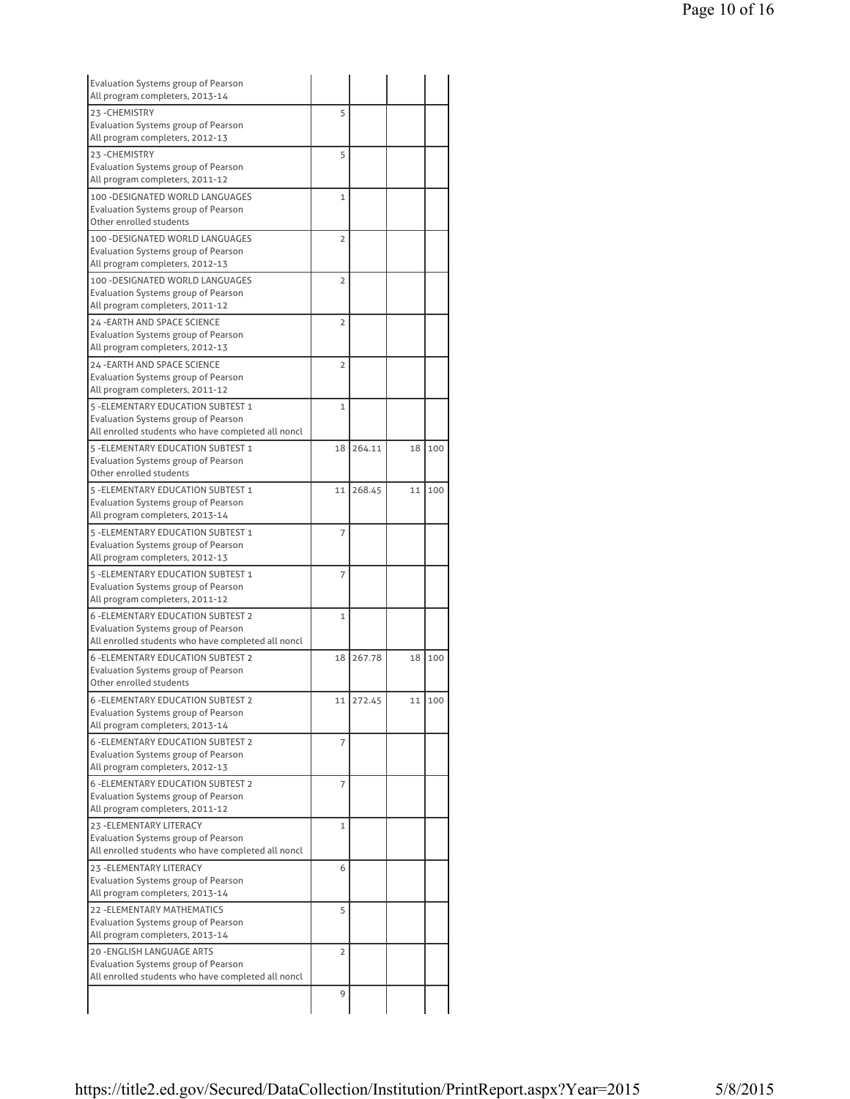| <b>Evaluation Systems group of Pearson</b><br>All program completers, 2013-14                      |                |           |    |     |
|----------------------------------------------------------------------------------------------------|----------------|-----------|----|-----|
| 23-CHEMISTRY                                                                                       | 5              |           |    |     |
| Evaluation Systems group of Pearson<br>All program completers, 2012-13                             |                |           |    |     |
| 23-CHEMISTRY                                                                                       | 5              |           |    |     |
| <b>Evaluation Systems group of Pearson</b>                                                         |                |           |    |     |
| All program completers, 2011-12                                                                    |                |           |    |     |
| 100 - DESIGNATED WORLD LANGUAGES                                                                   | 1              |           |    |     |
| Evaluation Systems group of Pearson                                                                |                |           |    |     |
| Other enrolled students                                                                            |                |           |    |     |
| 100 - DESIGNATED WORLD LANGUAGES                                                                   | $\overline{2}$ |           |    |     |
| Evaluation Systems group of Pearson                                                                |                |           |    |     |
| All program completers, 2012-13                                                                    |                |           |    |     |
| 100 - DESIGNATED WORLD LANGUAGES                                                                   | $\overline{2}$ |           |    |     |
| Evaluation Systems group of Pearson                                                                |                |           |    |     |
| All program completers, 2011-12                                                                    |                |           |    |     |
| 24 - EARTH AND SPACE SCIENCE                                                                       | $\overline{2}$ |           |    |     |
| Evaluation Systems group of Pearson                                                                |                |           |    |     |
| All program completers, 2012-13                                                                    |                |           |    |     |
| 24 - EARTH AND SPACE SCIENCE                                                                       | $\overline{2}$ |           |    |     |
| Evaluation Systems group of Pearson                                                                |                |           |    |     |
| All program completers, 2011-12                                                                    |                |           |    |     |
| 5 - ELEMENTARY EDUCATION SUBTEST 1                                                                 | $\mathbf{1}$   |           |    |     |
| <b>Evaluation Systems group of Pearson</b>                                                         |                |           |    |     |
| All enrolled students who have completed all noncl                                                 |                |           |    |     |
| 5 - ELEMENTARY EDUCATION SUBTEST 1                                                                 | 18             | 264.11    | 18 | 100 |
| Evaluation Systems group of Pearson<br>Other enrolled students                                     |                |           |    |     |
|                                                                                                    |                |           |    |     |
| 5 - ELEMENTARY EDUCATION SUBTEST 1<br>Evaluation Systems group of Pearson                          | 11             | 268.45    | 11 | 100 |
| All program completers, 2013-14                                                                    |                |           |    |     |
| 5 - ELEMENTARY EDUCATION SUBTEST 1                                                                 | $\overline{7}$ |           |    |     |
| Evaluation Systems group of Pearson                                                                |                |           |    |     |
| All program completers, 2012-13                                                                    |                |           |    |     |
| 5 - ELEMENTARY EDUCATION SUBTEST 1                                                                 | 7              |           |    |     |
| Evaluation Systems group of Pearson                                                                |                |           |    |     |
| All program completers, 2011-12                                                                    |                |           |    |     |
| <b>6 - ELEMENTARY EDUCATION SUBTEST 2</b>                                                          | $\mathbf{1}$   |           |    |     |
| <b>Evaluation Systems group of Pearson</b>                                                         |                |           |    |     |
| All enrolled students who have completed all noncl                                                 |                |           |    |     |
| <b>6 - ELEMENTARY EDUCATION SUBTEST 2</b>                                                          | 18             | 267.78    | 18 | 100 |
| <b>Evaluation Systems group of Pearson</b>                                                         |                |           |    |     |
| Other enrolled students                                                                            |                |           |    |     |
| <b>6 -ELEMENTARY EDUCATION SUBTEST 2</b>                                                           |                | 11 272.45 | 11 | 100 |
| Evaluation Systems group of Pearson                                                                |                |           |    |     |
| All program completers, 2013-14                                                                    |                |           |    |     |
| <b>6 - ELEMENTARY EDUCATION SUBTEST 2</b>                                                          | 7              |           |    |     |
| Evaluation Systems group of Pearson                                                                |                |           |    |     |
| All program completers, 2012-13                                                                    |                |           |    |     |
| <b>6 - ELEMENTARY EDUCATION SUBTEST 2</b>                                                          | 7              |           |    |     |
| Evaluation Systems group of Pearson                                                                |                |           |    |     |
| All program completers, 2011-12                                                                    |                |           |    |     |
| 23 - ELEMENTARY LITERACY                                                                           | 1              |           |    |     |
| Evaluation Systems group of Pearson                                                                |                |           |    |     |
|                                                                                                    |                |           |    |     |
| All enrolled students who have completed all noncl                                                 |                |           |    |     |
|                                                                                                    | 6              |           |    |     |
|                                                                                                    |                |           |    |     |
| 23 - ELEMENTARY LITERACY<br>Evaluation Systems group of Pearson<br>All program completers, 2013-14 |                |           |    |     |
| <b>22 - ELEMENTARY MATHEMATICS</b>                                                                 | 5              |           |    |     |
| Evaluation Systems group of Pearson                                                                |                |           |    |     |
| All program completers, 2013-14                                                                    |                |           |    |     |
| 20 - ENGLISH LANGUAGE ARTS                                                                         | $\overline{2}$ |           |    |     |
| Evaluation Systems group of Pearson                                                                |                |           |    |     |
| All enrolled students who have completed all noncl                                                 | 9              |           |    |     |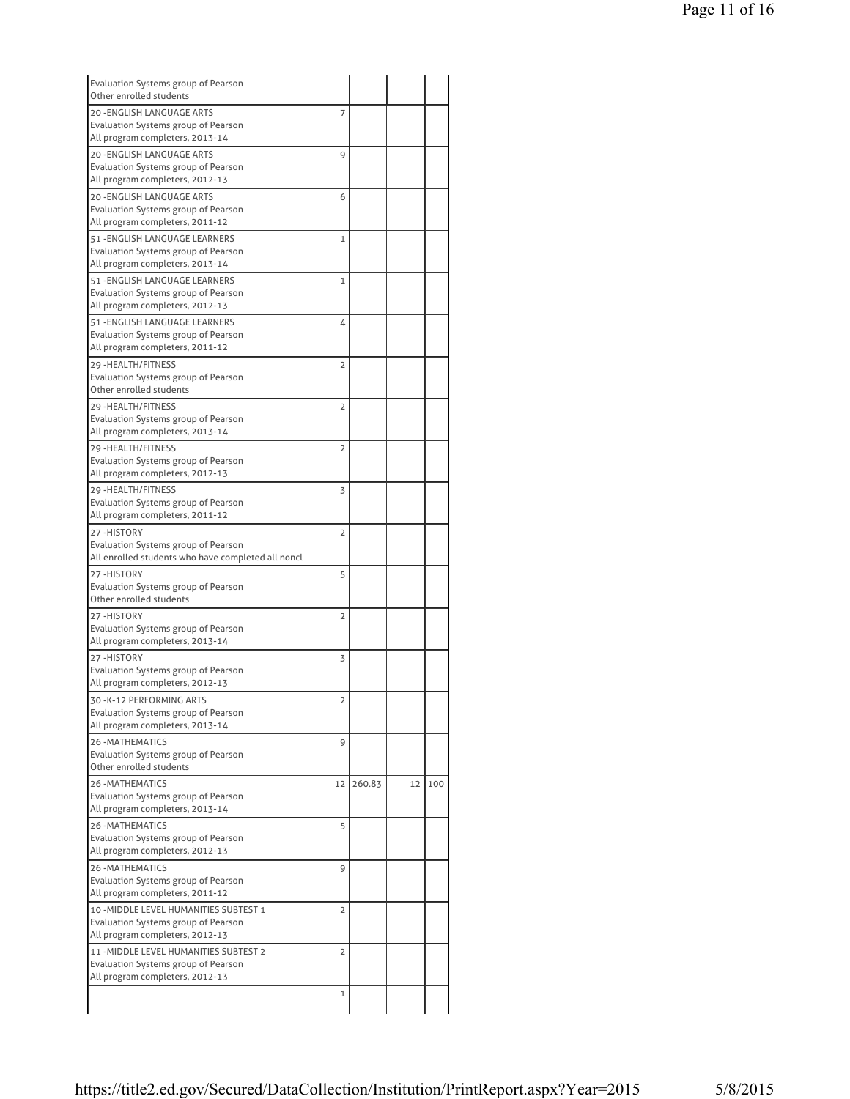| Evaluation Systems group of Pearson<br>Other enrolled students                                                   |                |        |    |     |
|------------------------------------------------------------------------------------------------------------------|----------------|--------|----|-----|
| <b>20 -ENGLISH LANGUAGE ARTS</b>                                                                                 | 7              |        |    |     |
| Evaluation Systems group of Pearson                                                                              |                |        |    |     |
| All program completers, 2013-14                                                                                  |                |        |    |     |
| <b>20 -ENGLISH LANGUAGE ARTS</b>                                                                                 | 9              |        |    |     |
| Evaluation Systems group of Pearson                                                                              |                |        |    |     |
| All program completers, 2012-13                                                                                  |                |        |    |     |
| 20 - ENGLISH LANGUAGE ARTS                                                                                       | 6              |        |    |     |
| <b>Evaluation Systems group of Pearson</b>                                                                       |                |        |    |     |
| All program completers, 2011-12                                                                                  |                |        |    |     |
| 51 - ENGLISH LANGUAGE LEARNERS                                                                                   | $\mathbf{1}$   |        |    |     |
| <b>Evaluation Systems group of Pearson</b>                                                                       |                |        |    |     |
| All program completers, 2013-14                                                                                  |                |        |    |     |
| 51 - ENGLISH LANGUAGE LEARNERS                                                                                   | $\mathbf{1}$   |        |    |     |
| Evaluation Systems group of Pearson                                                                              |                |        |    |     |
| All program completers, 2012-13                                                                                  |                |        |    |     |
| 51 - ENGLISH LANGUAGE LEARNERS                                                                                   | 4              |        |    |     |
| Evaluation Systems group of Pearson<br>All program completers, 2011-12                                           |                |        |    |     |
|                                                                                                                  |                |        |    |     |
| 29 - HEALTH/FITNESS<br>Evaluation Systems group of Pearson                                                       | $\overline{2}$ |        |    |     |
| Other enrolled students                                                                                          |                |        |    |     |
| 29 - HEALTH/FITNESS                                                                                              |                |        |    |     |
| Evaluation Systems group of Pearson                                                                              | 2              |        |    |     |
| All program completers, 2013-14                                                                                  |                |        |    |     |
| 29-HEALTH/FITNESS                                                                                                | 2              |        |    |     |
| Evaluation Systems group of Pearson                                                                              |                |        |    |     |
| All program completers, 2012-13                                                                                  |                |        |    |     |
| 29 - HEALTH/FITNESS                                                                                              | 3              |        |    |     |
| Evaluation Systems group of Pearson                                                                              |                |        |    |     |
| All program completers, 2011-12                                                                                  |                |        |    |     |
| 27-HISTORY                                                                                                       | 2              |        |    |     |
| Evaluation Systems group of Pearson                                                                              |                |        |    |     |
| All enrolled students who have completed all noncl                                                               |                |        |    |     |
| 27-HISTORY                                                                                                       | 5              |        |    |     |
| <b>Evaluation Systems group of Pearson</b>                                                                       |                |        |    |     |
| Other enrolled students                                                                                          |                |        |    |     |
| 27-HISTORY                                                                                                       | $\overline{2}$ |        |    |     |
| Evaluation Systems group of Pearson                                                                              |                |        |    |     |
| All program completers, 2013-14                                                                                  |                |        |    |     |
| 27-HISTORY                                                                                                       | 3              |        |    |     |
| Evaluation Systems group of Pearson                                                                              |                |        |    |     |
| All program completers, 2012-13                                                                                  |                |        |    |     |
| 30-K-12 PERFORMING ARTS                                                                                          | 2              |        |    |     |
| <b>Evaluation Systems group of Pearson</b>                                                                       |                |        |    |     |
| All program completers, 2013-14                                                                                  |                |        |    |     |
| <b>26-MATHEMATICS</b>                                                                                            | 9              |        |    |     |
| <b>Evaluation Systems group of Pearson</b><br>Other enrolled students                                            |                |        |    |     |
|                                                                                                                  |                |        |    |     |
| <b>26 - MATHEMATICS</b>                                                                                          | 12             | 260.83 | 12 | 100 |
| Evaluation Systems group of Pearson<br>All program completers, 2013-14                                           |                |        |    |     |
| 26 - MATHEMATICS                                                                                                 |                |        |    |     |
| Evaluation Systems group of Pearson                                                                              | 5              |        |    |     |
| All program completers, 2012-13                                                                                  |                |        |    |     |
| <b>26-MATHEMATICS</b>                                                                                            | 9              |        |    |     |
| Evaluation Systems group of Pearson                                                                              |                |        |    |     |
| All program completers, 2011-12                                                                                  |                |        |    |     |
| 10 - MIDDLE LEVEL HUMANITIES SUBTEST 1                                                                           | $\overline{2}$ |        |    |     |
|                                                                                                                  |                |        |    |     |
|                                                                                                                  |                |        |    |     |
|                                                                                                                  |                |        |    |     |
| Evaluation Systems group of Pearson<br>All program completers, 2012-13<br>11 - MIDDLE LEVEL HUMANITIES SUBTEST 2 | $\overline{2}$ |        |    |     |
|                                                                                                                  |                |        |    |     |
|                                                                                                                  |                |        |    |     |
| Evaluation Systems group of Pearson<br>All program completers, 2012-13                                           | $\mathbf{1}$   |        |    |     |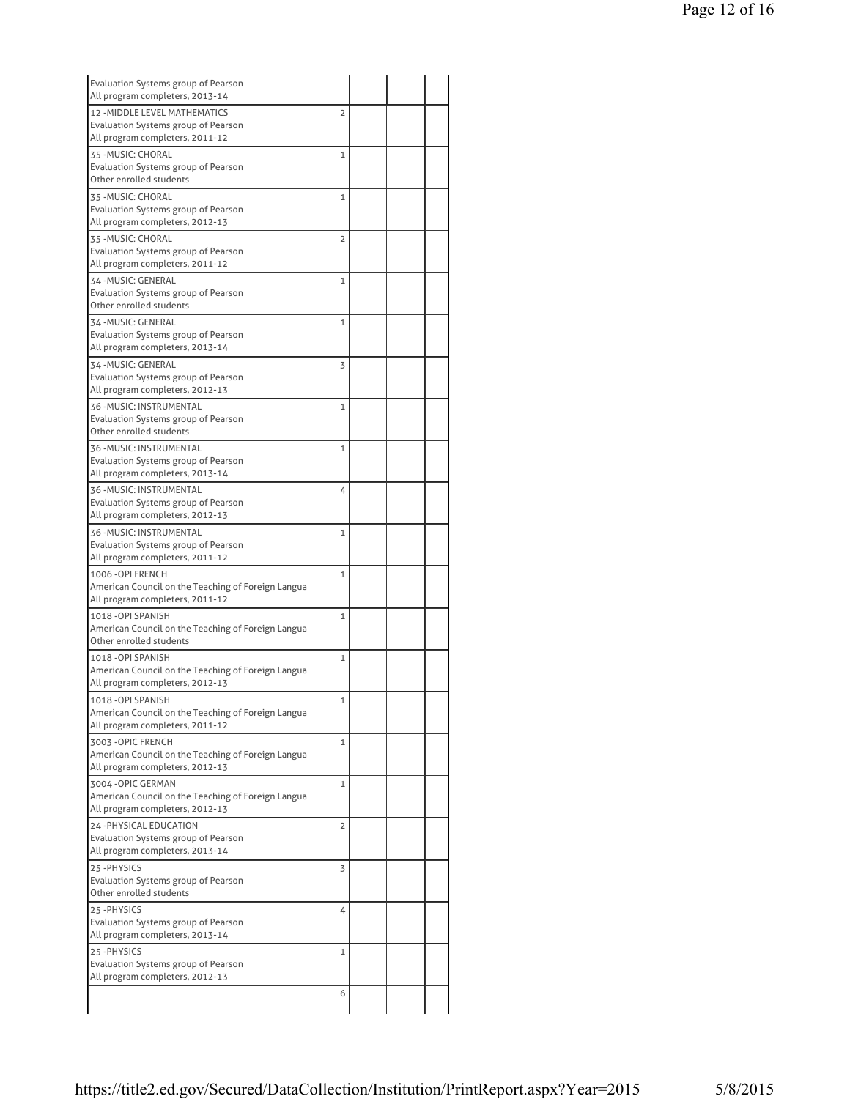| Evaluation Systems group of Pearson<br>All program completers, 2013-14                |                |  |  |
|---------------------------------------------------------------------------------------|----------------|--|--|
| 12 - MIDDLE LEVEL MATHEMATICS                                                         | $\overline{2}$ |  |  |
| Evaluation Systems group of Pearson<br>All program completers, 2011-12                |                |  |  |
| 35 - MUSIC: CHORAL                                                                    | $\mathbf{1}$   |  |  |
| Evaluation Systems group of Pearson<br>Other enrolled students                        |                |  |  |
| 35 - MUSIC: CHORAL                                                                    | 1              |  |  |
| Evaluation Systems group of Pearson<br>All program completers, 2012-13                |                |  |  |
| 35 - MUSIC: CHORAL                                                                    | $\overline{2}$ |  |  |
| Evaluation Systems group of Pearson<br>All program completers, 2011-12                |                |  |  |
| 34-MUSIC: GENERAL                                                                     | 1              |  |  |
| Evaluation Systems group of Pearson                                                   |                |  |  |
| Other enrolled students                                                               |                |  |  |
| 34 - MUSIC: GENERAL                                                                   | $\mathbf{1}$   |  |  |
| Evaluation Systems group of Pearson                                                   |                |  |  |
| All program completers, 2013-14                                                       |                |  |  |
| 34 - MUSIC: GENERAL                                                                   | 3              |  |  |
| Evaluation Systems group of Pearson<br>All program completers, 2012-13                |                |  |  |
| 36 - MUSIC: INSTRUMENTAL                                                              | $\mathbf{1}$   |  |  |
| Evaluation Systems group of Pearson                                                   |                |  |  |
| Other enrolled students                                                               |                |  |  |
| 36 - MUSIC: INSTRUMENTAL                                                              | $\mathbf{1}$   |  |  |
| Evaluation Systems group of Pearson                                                   |                |  |  |
| All program completers, 2013-14                                                       |                |  |  |
| 36 - MUSIC: INSTRUMENTAL                                                              | 4              |  |  |
| Evaluation Systems group of Pearson<br>All program completers, 2012-13                |                |  |  |
| 36 - MUSIC: INSTRUMENTAL                                                              | $\mathbf{1}$   |  |  |
| Evaluation Systems group of Pearson                                                   |                |  |  |
| All program completers, 2011-12                                                       |                |  |  |
| 1006 - OPI FRENCH                                                                     | 1              |  |  |
| American Council on the Teaching of Foreign Langua                                    |                |  |  |
| All program completers, 2011-12                                                       |                |  |  |
| 1018 - OPI SPANISH                                                                    | 1              |  |  |
| American Council on the Teaching of Foreign Langua<br>Other enrolled students         |                |  |  |
| 1018-OPI SPANISH                                                                      | $\mathbf{1}$   |  |  |
| American Council on the Teaching of Foreign Langua                                    |                |  |  |
| All program completers, 2012-13                                                       |                |  |  |
| 1018 -OPI SPANISH                                                                     | 1              |  |  |
| American Council on the Teaching of Foreign Langua                                    |                |  |  |
| All program completers, 2011-12                                                       |                |  |  |
| 3003 - OPIC FRENCH                                                                    | 1              |  |  |
| American Council on the Teaching of Foreign Langua<br>All program completers, 2012-13 |                |  |  |
| 3004 - OPIC GERMAN                                                                    | $\mathbf{1}$   |  |  |
| American Council on the Teaching of Foreign Langua                                    |                |  |  |
| All program completers, 2012-13                                                       |                |  |  |
| 24 - PHYSICAL EDUCATION                                                               | $\overline{2}$ |  |  |
| Evaluation Systems group of Pearson                                                   |                |  |  |
| All program completers, 2013-14                                                       |                |  |  |
| 25-PHYSICS                                                                            | 3              |  |  |
| Evaluation Systems group of Pearson<br>Other enrolled students                        |                |  |  |
| 25-PHYSICS                                                                            | 4              |  |  |
| Evaluation Systems group of Pearson                                                   |                |  |  |
|                                                                                       |                |  |  |
| All program completers, 2013-14                                                       |                |  |  |
| 25-PHYSICS                                                                            | $\mathbf{1}$   |  |  |
| Evaluation Systems group of Pearson                                                   |                |  |  |
| All program completers, 2012-13                                                       |                |  |  |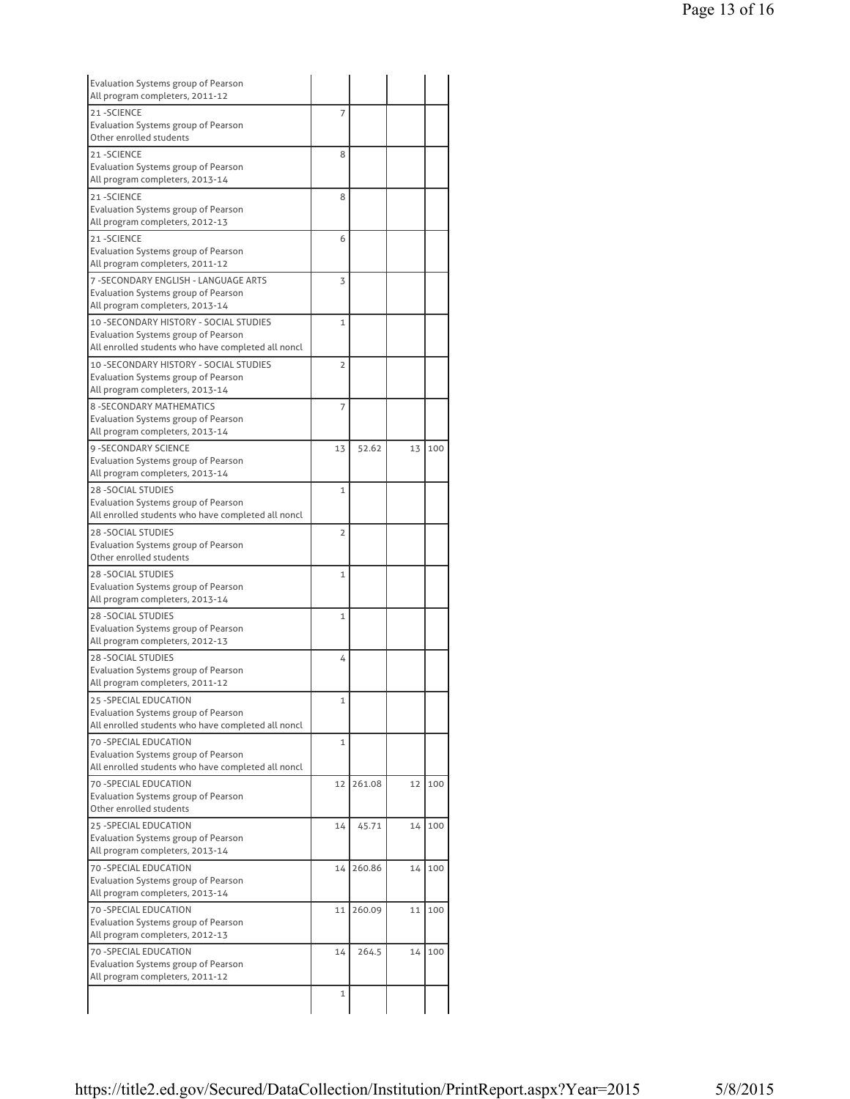| Evaluation Systems group of Pearson                                                                                                  |                |        |    |     |
|--------------------------------------------------------------------------------------------------------------------------------------|----------------|--------|----|-----|
| All program completers, 2011-12<br>21-SCIENCE                                                                                        | 7              |        |    |     |
| Evaluation Systems group of Pearson<br>Other enrolled students                                                                       |                |        |    |     |
| 21-SCIENCE<br>Evaluation Systems group of Pearson<br>All program completers, 2013-14                                                 | 8              |        |    |     |
| 21-SCIENCE<br>Evaluation Systems group of Pearson<br>All program completers, 2012-13                                                 | 8              |        |    |     |
| 21-SCIENCE<br>Evaluation Systems group of Pearson<br>All program completers, 2011-12                                                 | 6              |        |    |     |
| 7 - SECONDARY ENGLISH - LANGUAGE ARTS<br>Evaluation Systems group of Pearson<br>All program completers, 2013-14                      | 3              |        |    |     |
| 10 - SECONDARY HISTORY - SOCIAL STUDIES<br>Evaluation Systems group of Pearson<br>All enrolled students who have completed all noncl | $\mathbf{1}$   |        |    |     |
| 10 - SECONDARY HISTORY - SOCIAL STUDIES<br><b>Evaluation Systems group of Pearson</b><br>All program completers, 2013-14             | $\overline{2}$ |        |    |     |
| <b>8 - SECONDARY MATHEMATICS</b><br><b>Evaluation Systems group of Pearson</b><br>All program completers, 2013-14                    | $\overline{7}$ |        |    |     |
| 9 - SECONDARY SCIENCE<br>Evaluation Systems group of Pearson<br>All program completers, 2013-14                                      | 13             | 52.62  | 13 | 100 |
| <b>28 - SOCIAL STUDIES</b><br>Evaluation Systems group of Pearson<br>All enrolled students who have completed all noncl              | $\mathbf{1}$   |        |    |     |
| <b>28 - SOCIAL STUDIES</b><br>Evaluation Systems group of Pearson<br>Other enrolled students                                         | $\overline{2}$ |        |    |     |
| <b>28 - SOCIAL STUDIES</b><br>Evaluation Systems group of Pearson<br>All program completers, 2013-14                                 | $\mathbf{1}$   |        |    |     |
| 28 - SOCIAL STUDIES<br>Evaluation Systems group of Pearson<br>All program completers, 2012-13                                        | 1              |        |    |     |
| <b>28 - SOCIAL STUDIES</b><br>Evaluation Systems group of Pearson<br>All program completers, 2011-12                                 | 4              |        |    |     |
| 25 - SPECIAL EDUCATION<br>Evaluation Systems group of Pearson<br>All enrolled students who have completed all noncl                  | 1              |        |    |     |
| 70 - SPECIAL EDUCATION<br>Evaluation Systems group of Pearson<br>All enrolled students who have completed all noncl                  | $\mathbf{1}$   |        |    |     |
| 70 - SPECIAL EDUCATION<br>Evaluation Systems group of Pearson<br>Other enrolled students                                             | 12             | 261.08 | 12 | 100 |
| <b>25 -SPECIAL EDUCATION</b><br>Evaluation Systems group of Pearson<br>All program completers, 2013-14                               | 14             | 45.71  | 14 | 100 |
| 70 - SPECIAL EDUCATION<br>Evaluation Systems group of Pearson<br>All program completers, 2013-14                                     | 14             | 260.86 | 14 | 100 |
| 70 - SPECIAL EDUCATION<br>Evaluation Systems group of Pearson<br>All program completers, 2012-13                                     | 11             | 260.09 | 11 | 100 |
| 70 - SPECIAL EDUCATION<br>Evaluation Systems group of Pearson                                                                        | 14             | 264.5  | 14 | 100 |
| All program completers, 2011-12                                                                                                      |                |        |    |     |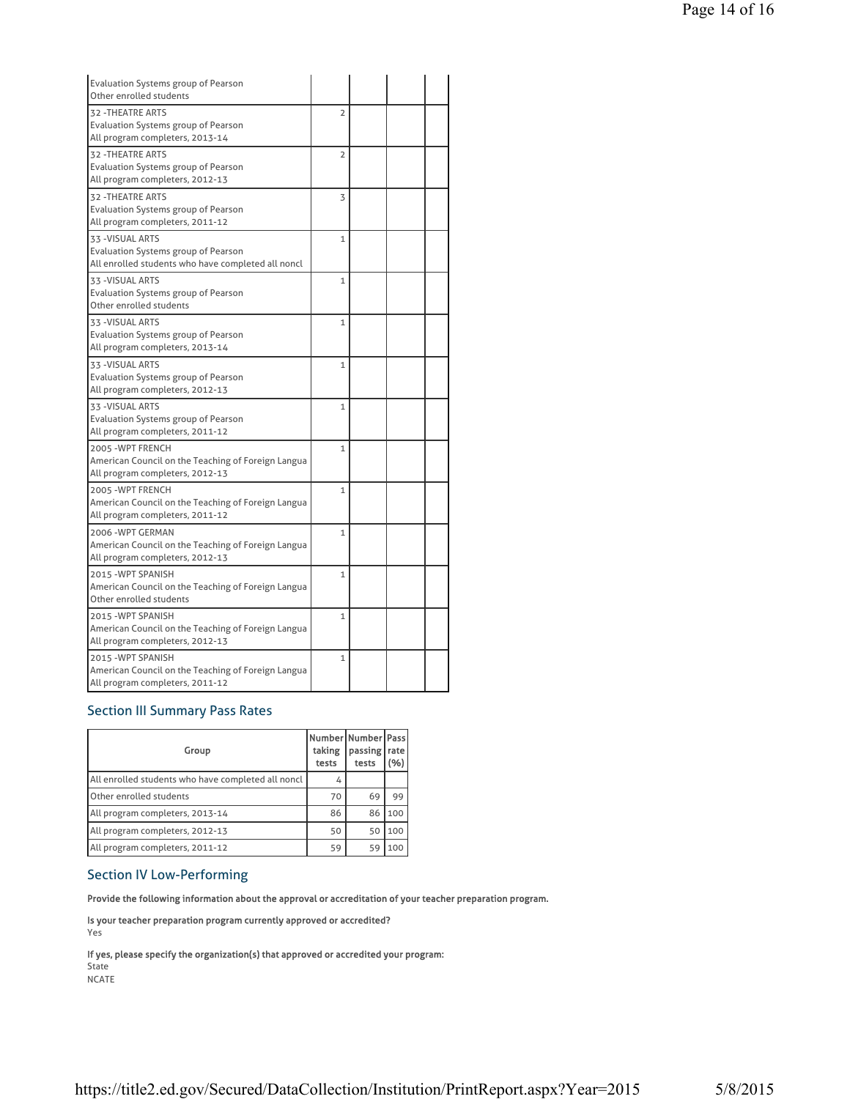| <b>Evaluation Systems group of Pearson</b><br>Other enrolled students                                                |                |  |  |
|----------------------------------------------------------------------------------------------------------------------|----------------|--|--|
| <b>32 - THEATRE ARTS</b><br>Evaluation Systems group of Pearson<br>All program completers, 2013-14                   | $\overline{2}$ |  |  |
| <b>32 - THEATRE ARTS</b><br><b>Evaluation Systems group of Pearson</b><br>All program completers, 2012-13            | $\overline{2}$ |  |  |
| 32 - THEATRE ARTS<br>Evaluation Systems group of Pearson<br>All program completers, 2011-12                          | 3              |  |  |
| 33 - VISUAL ARTS<br><b>Evaluation Systems group of Pearson</b><br>All enrolled students who have completed all noncl | $\mathbf{1}$   |  |  |
| 33 - VISUAL ARTS<br>Evaluation Systems group of Pearson<br>Other enrolled students                                   | $\mathbf{1}$   |  |  |
| 33 - VISUAL ARTS<br>Evaluation Systems group of Pearson<br>All program completers, 2013-14                           | $\mathbf{1}$   |  |  |
| 33 - VISUAL ARTS<br>Evaluation Systems group of Pearson<br>All program completers, 2012-13                           | $\mathbf{1}$   |  |  |
| 33 - VISUAL ARTS<br>Evaluation Systems group of Pearson<br>All program completers, 2011-12                           | $\mathbf{1}$   |  |  |
| 2005 - WPT FRENCH<br>American Council on the Teaching of Foreign Langua<br>All program completers, 2012-13           | $\mathbf{1}$   |  |  |
| 2005 - WPT FRENCH<br>American Council on the Teaching of Foreign Langua<br>All program completers, 2011-12           | $\mathbf{1}$   |  |  |
| 2006 - WPT GERMAN<br>American Council on the Teaching of Foreign Langua<br>All program completers, 2012-13           | $\mathbf{1}$   |  |  |
| 2015 - WPT SPANISH<br>American Council on the Teaching of Foreign Langua<br>Other enrolled students                  | $\mathbf{1}$   |  |  |
| 2015 - WPT SPANISH<br>American Council on the Teaching of Foreign Langua<br>All program completers, 2012-13          | $\mathbf{1}$   |  |  |
| 2015 - WPT SPANISH<br>American Council on the Teaching of Foreign Langua<br>All program completers, 2011-12          | $\mathbf{1}$   |  |  |

### Section III Summary Pass Rates

| Group                                              | Number Number   Pass<br>taking<br>tests | passing<br>tests | rate<br>% |
|----------------------------------------------------|-----------------------------------------|------------------|-----------|
| All enrolled students who have completed all noncl | 4                                       |                  |           |
| Other enrolled students                            | 70                                      | 69               | 99        |
| All program completers, 2013-14                    | 86                                      | 86               | 100       |
| All program completers, 2012-13                    | 50                                      | 50               | 100       |
| All program completers, 2011-12                    | 59                                      | 59               | 100       |

### Section IV Low-Performing

Provide the following information about the approval or accreditation of your teacher preparation program.

Is your teacher preparation program currently approved or accredited? Yes

If yes, please specify the organization(s) that approved or accredited your program: State NCATE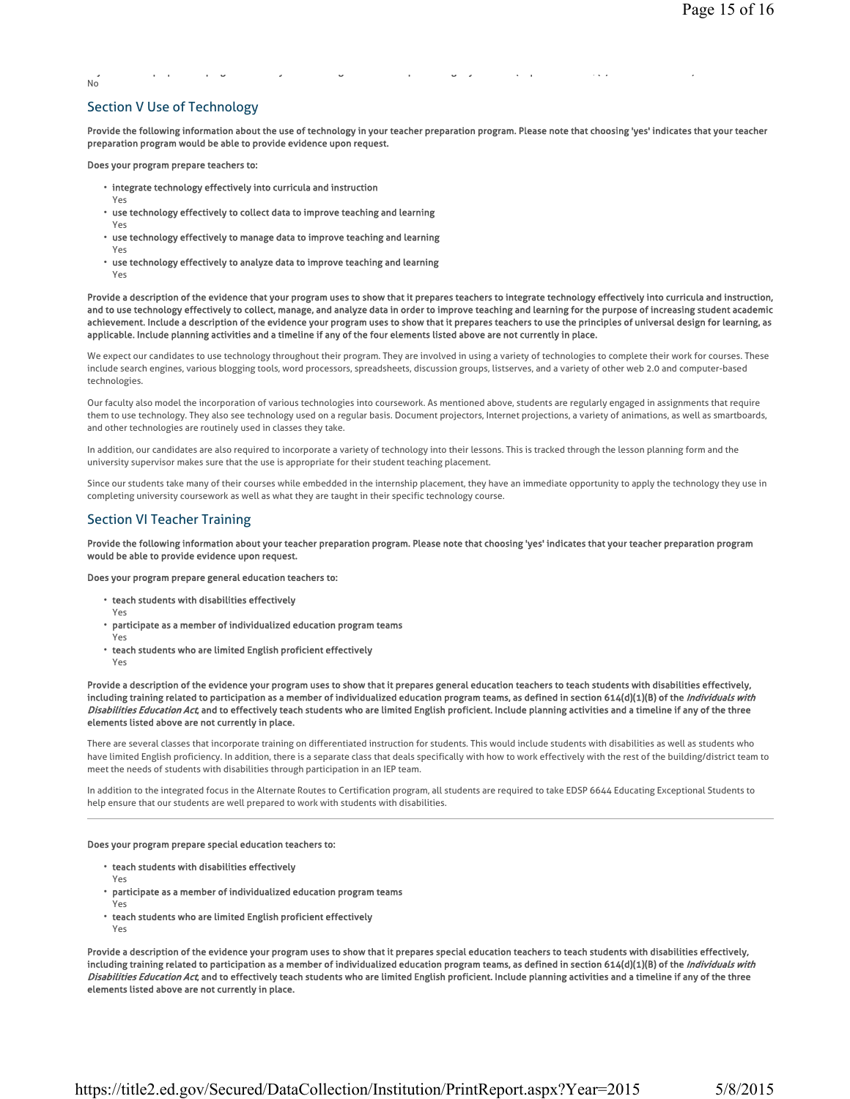## $N<sub>0</sub>$

### Section V Use of Technology

Provide the following information about the use of technology in your teacher preparation program. Please note that choosing 'yes' indicates that your teacher preparation program would be able to provide evidence upon request.

y p p g y g y g y ( p 7( ) ) ) ) ) ) ) ) ) ( p 7( ) ) ) ( p 7( ) ) ( p 7( ) ) ( p 7( ) ) ( p 7( ) ( p 7( ) ( p

Does your program prepare teachers to:

- integrate technology effectively into curricula and instruction
- Yes Yes
- use technology effectively to collect data to improve teaching and learning
- use technology effectively to manage data to improve teaching and learning
- Yes
- use technology effectively to analyze data to improve teaching and learning Yes

Provide a description of the evidence that your program uses to show that it prepares teachers to integrate technology effectively into curricula and instruction, and to use technology effectively to collect, manage, and analyze data in order to improve teaching and learning for the purpose of increasing student academic achievement. Include a description of the evidence your program uses to show that it prepares teachers to use the principles of universal design for learning, as applicable. Include planning activities and a timeline if any of the four elements listed above are not currently in place.

We expect our candidates to use technology throughout their program. They are involved in using a variety of technologies to complete their work for courses. These include search engines, various blogging tools, word processors, spreadsheets, discussion groups, listserves, and a variety of other web 2.0 and computer-based technologies.

Our faculty also model the incorporation of various technologies into coursework. As mentioned above, students are regularly engaged in assignments that require them to use technology. They also see technology used on a regular basis. Document projectors, Internet projections, a variety of animations, as well as smartboards, and other technologies are routinely used in classes they take.

In addition, our candidates are also required to incorporate a variety of technology into their lessons. This is tracked through the lesson planning form and the university supervisor makes sure that the use is appropriate for their student teaching placement.

Since our students take many of their courses while embedded in the internship placement, they have an immediate opportunity to apply the technology they use in completing university coursework as well as what they are taught in their specific technology course.

### Section VI Teacher Training

Provide the following information about your teacher preparation program. Please note that choosing 'yes' indicates that your teacher preparation program would be able to provide evidence upon request.

Does your program prepare general education teachers to:

- teach students with disabilities effectively
- Yes
- participate as a member of individualized education program teams Yes
- teach students who are limited English proficient effectively
- Yes

Provide a description of the evidence your program uses to show that it prepares general education teachers to teach students with disabilities effectively, including training related to participation as a member of individualized education program teams, as defined in section 614(d)(1)(B) of the *Individuals with* Disabilities Education Act, and to effectively teach students who are limited English proficient. Include planning activities and a timeline if any of the three elements listed above are not currently in place.

There are several classes that incorporate training on differentiated instruction for students. This would include students with disabilities as well as students who have limited English proficiency. In addition, there is a separate class that deals specifically with how to work effectively with the rest of the building/district team to meet the needs of students with disabilities through participation in an IEP team.

In addition to the integrated focus in the Alternate Routes to Certification program, all students are required to take EDSP 6644 Educating Exceptional Students to help ensure that our students are well prepared to work with students with disabilities.

#### Does your program prepare special education teachers to:

- teach students with disabilities effectively
- Yes
- participate as a member of individualized education program teams
- Yes
- teach students who are limited English proficient effectively
- Yes

Provide a description of the evidence your program uses to show that it prepares special education teachers to teach students with disabilities effectively, including training related to participation as a member of individualized education program teams, as defined in section 614(d)(1)(B) of the *Individuals with* Disabilities Education Act, and to effectively teach students who are limited English proficient. Include planning activities and a timeline if any of the three elements listed above are not currently in place.